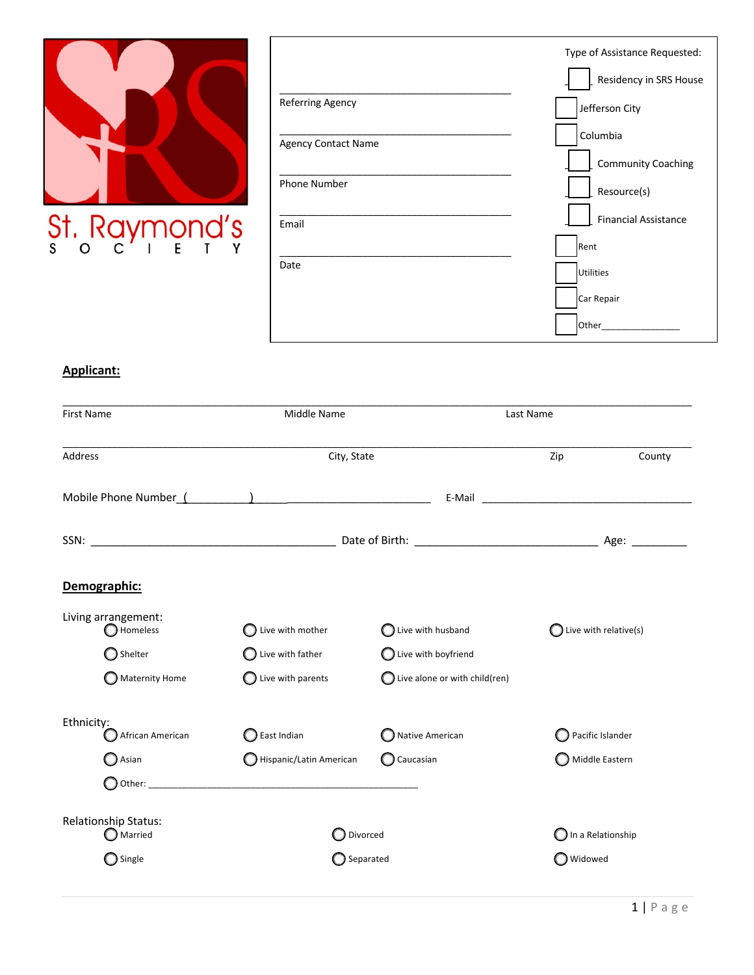

|                            | Type of Assistance Requested: |
|----------------------------|-------------------------------|
|                            | Residency in SRS House        |
| Referring Agency           | Jefferson City                |
| <b>Agency Contact Name</b> | Columbia                      |
|                            | <b>Community Coaching</b>     |
| <b>Phone Number</b>        | Resource(s)                   |
| Email                      | <b>Financial Assistance</b>   |
|                            | Rent                          |
| Date                       | <b>Utilities</b>              |
|                            | Car Repair                    |
|                            | Other                         |

## **Applicant:**

| <b>First Name</b>               | Middle Name                                                                                                    |                                          | Last Name                        |         |  |
|---------------------------------|----------------------------------------------------------------------------------------------------------------|------------------------------------------|----------------------------------|---------|--|
| <b>Address</b>                  | City, State                                                                                                    |                                          | Zip                              | County  |  |
|                                 | Mobile Phone Number (Alexandre Letter Alexandre Letter Alexandre Letter Alexandre Letter Alexandre Letter Alex |                                          |                                  |         |  |
|                                 |                                                                                                                |                                          |                                  |         |  |
| Demographic:                    |                                                                                                                |                                          |                                  |         |  |
| Living arrangement:<br>Homeless | Live with mother                                                                                               | $\bigcirc$ Live with husband             | $\bigcirc$ Live with relative(s) |         |  |
| Shelter                         | Live with father                                                                                               | $\bigcirc$ Live with boyfriend           |                                  |         |  |
| $\bigcirc$ Maternity Home       | Live with parents                                                                                              | $\bigcirc$ Live alone or with child(ren) |                                  |         |  |
| Ethnicity:<br>African American  | East Indian                                                                                                    | Native American                          | Pacific Islander                 |         |  |
| Asian                           | Hispanic/Latin American                                                                                        | $\bigcirc$ Caucasian                     | Middle Eastern                   |         |  |
|                                 |                                                                                                                |                                          |                                  |         |  |
| Relationship Status:<br>Married | Divorced                                                                                                       |                                          | In a Relationship                |         |  |
| Single                          | Separated                                                                                                      |                                          |                                  | Widowed |  |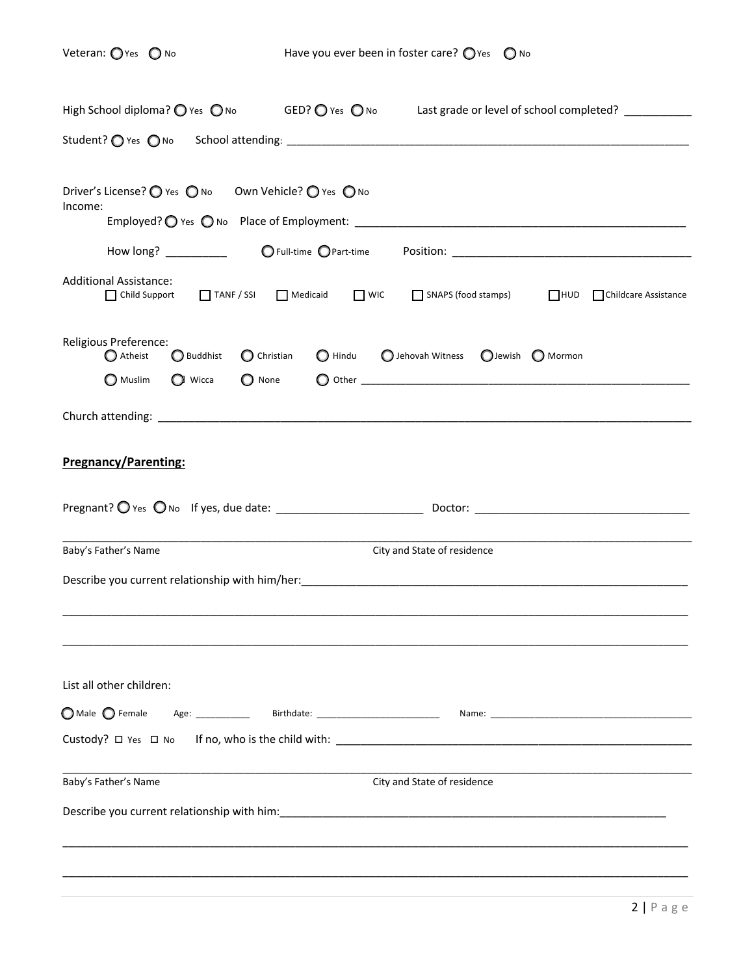Veteran:  $\bigcirc$  Yes  $\bigcirc$  No  $\qquad \qquad$  Have you ever been in foster care?  $\bigcirc$  Yes  $\bigcirc$  No

| High School diploma? $\bigcirc$ Yes $\bigcirc$ No GED? $\bigcirc$ Yes $\bigcirc$ No<br>Last grade or level of school completed? ___________                                           |
|---------------------------------------------------------------------------------------------------------------------------------------------------------------------------------------|
|                                                                                                                                                                                       |
| Driver's License? ● Yes ● No Own Vehicle? ● Yes ● No<br>Income:<br>How long? __________                                                                                               |
| <b>Additional Assistance:</b><br>TANF / SSI Medicaid UNIC SNAPS (food stamps)<br>HUD Childcare Assistance<br>$\prod$ Child Support                                                    |
| Religious Preference:<br>Atheist<br>$\bigcirc$ Christian<br>○ Hindu   ○ Jehovah Witness   ○ Jewish   ○ Mormon<br>Buddhist<br>$\bigcirc$ Wicca<br>$\bigcirc$ None<br>$\bigcirc$ Muslim |
|                                                                                                                                                                                       |
| <b>Pregnancy/Parenting:</b>                                                                                                                                                           |
| City and State of residence<br>Baby's Father's Name                                                                                                                                   |
|                                                                                                                                                                                       |
| List all other children:                                                                                                                                                              |
|                                                                                                                                                                                       |
|                                                                                                                                                                                       |
| Baby's Father's Name<br>City and State of residence                                                                                                                                   |
|                                                                                                                                                                                       |
|                                                                                                                                                                                       |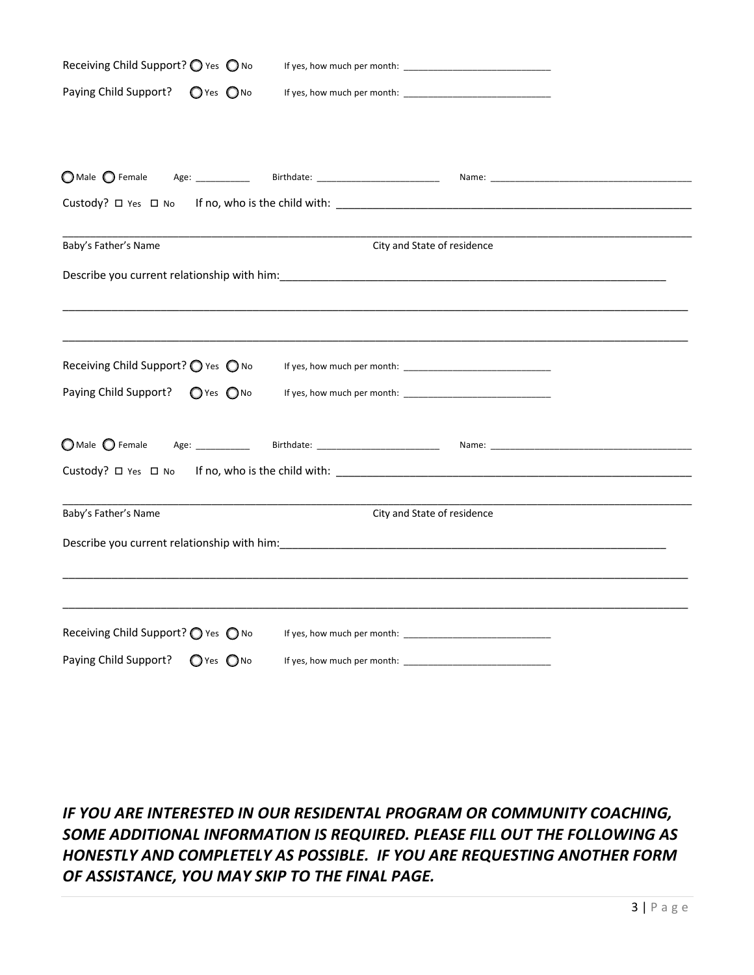| Receiving Child Support? ○ Yes ○ No     |                             |  |
|-----------------------------------------|-----------------------------|--|
| Paying Child Support?<br>O Yes ONO      |                             |  |
|                                         |                             |  |
|                                         |                             |  |
|                                         |                             |  |
| Custody? □ Yes □ No                     |                             |  |
|                                         |                             |  |
| Baby's Father's Name                    | City and State of residence |  |
|                                         |                             |  |
|                                         |                             |  |
|                                         |                             |  |
| Receiving Child Support? O Yes O No     |                             |  |
| Paying Child Support?<br>$O$ Yes $O$ No |                             |  |
|                                         |                             |  |
| $\bigcirc$ Male $\bigcirc$ Female       |                             |  |
| Custody? $\Box$ Yes $\Box$ No           |                             |  |
|                                         |                             |  |
| Baby's Father's Name                    | City and State of residence |  |
|                                         |                             |  |
|                                         |                             |  |
|                                         |                             |  |
| Receiving Child Support? ○ Yes ○ No     |                             |  |
| Paying Child Support?<br>O Yes ONO      |                             |  |

# *IF YOU ARE INTERESTED IN OUR RESIDENTAL PROGRAM OR COMMUNITY COACHING, SOME ADDITIONAL INFORMATION IS REQUIRED. PLEASE FILL OUT THE FOLLOWING AS HONESTLY AND COMPLETELY AS POSSIBLE. IF YOU ARE REQUESTING ANOTHER FORM OF ASSISTANCE, YOU MAY SKIP TO THE FINAL PAGE.*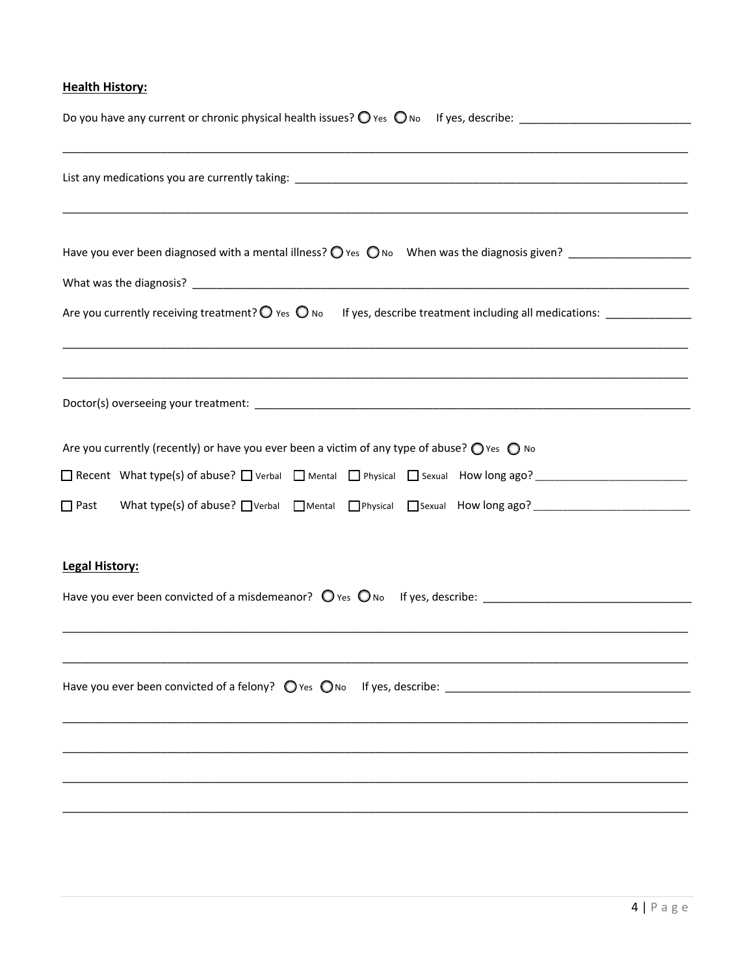### **Health History:**

| ,我们也不能在这里的时候,我们也不能在这里的时候,我们也不能在这里的时候,我们也不能会在这里的时候,我们也不能会在这里的时候,我们也不能会在这里的时候,我们也不                                    |
|---------------------------------------------------------------------------------------------------------------------|
|                                                                                                                     |
| Are you currently (recently) or have you ever been a victim of any type of abuse? $\bigcirc$ Yes $\bigcirc$ No      |
|                                                                                                                     |
| What type(s) of abuse? Nerbal Mental DPhysical Sexual How long ago? ________________________________<br>$\Box$ Past |
| <b>Legal History:</b>                                                                                               |
| Have you ever been convicted of a misdemeanor? O Yes O No If yes, describe: ________________________                |
|                                                                                                                     |
|                                                                                                                     |
|                                                                                                                     |
|                                                                                                                     |
|                                                                                                                     |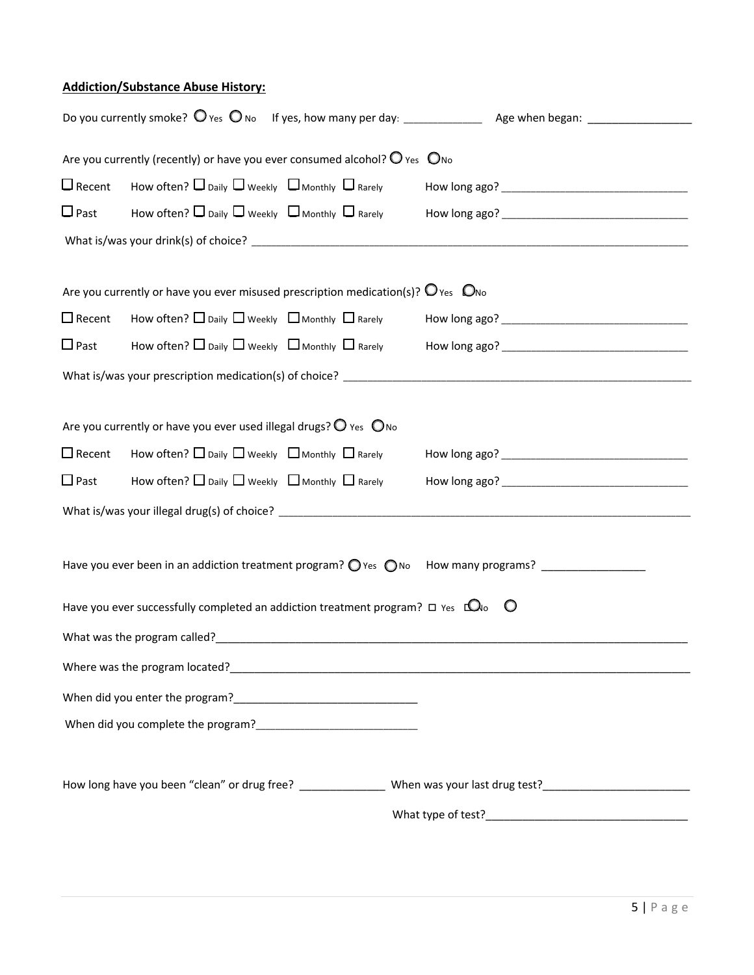#### **Addiction/Substance Abuse History:**

|                  | Are you currently (recently) or have you ever consumed alcohol? $\bigcirc$ Yes $\bigcirc$ No        |                                                                                                                      |  |
|------------------|-----------------------------------------------------------------------------------------------------|----------------------------------------------------------------------------------------------------------------------|--|
|                  | $\square$ Recent How often? $\square$ Daily $\square$ Weekly $\square$ Monthly $\square$ Rarely     |                                                                                                                      |  |
| $\Box$ Past      | How often? $\square$ Daily $\square$ Weekly $\square$ Monthly $\square$ Rarely                      |                                                                                                                      |  |
|                  |                                                                                                     |                                                                                                                      |  |
|                  |                                                                                                     |                                                                                                                      |  |
|                  | Are you currently or have you ever misused prescription medication(s)? $\bigcirc$ Yes $\bigcirc$ No |                                                                                                                      |  |
| $\square$ Recent | How often? $\square$ Daily $\square$ Weekly $\;\square$ Monthly $\;\square$ Rarely                  |                                                                                                                      |  |
| $\Box$ Past      | How often? $\Box$ Daily $\Box$ Weekly $\Box$ Monthly $\Box$ Rarely                                  |                                                                                                                      |  |
|                  |                                                                                                     |                                                                                                                      |  |
|                  |                                                                                                     |                                                                                                                      |  |
|                  | Are you currently or have you ever used illegal drugs? $\bigcirc$ Yes $\bigcirc$ No                 |                                                                                                                      |  |
| $\Box$ Recent    | How often? $\Box$ Daily $\Box$ Weekly $\Box$ Monthly $\Box$ Rarely                                  |                                                                                                                      |  |
| $\Box$ Past      | How often? $\Box$ Daily $\Box$ Weekly $\Box$ Monthly $\Box$ Rarely                                  |                                                                                                                      |  |
|                  |                                                                                                     |                                                                                                                      |  |
|                  |                                                                                                     |                                                                                                                      |  |
|                  |                                                                                                     | Have you ever been in an addiction treatment program? O Yes ONo How many programs?                                   |  |
|                  |                                                                                                     |                                                                                                                      |  |
|                  | Have you ever successfully completed an addiction treatment program? $\Box$ Yes $\Box$ O $\Box$     |                                                                                                                      |  |
|                  |                                                                                                     | What was the program called?<br><u> </u>                                                                             |  |
|                  |                                                                                                     |                                                                                                                      |  |
|                  |                                                                                                     |                                                                                                                      |  |
|                  |                                                                                                     |                                                                                                                      |  |
|                  |                                                                                                     |                                                                                                                      |  |
|                  |                                                                                                     | How long have you been "clean" or drug free? _________________ When was your last drug test? _______________________ |  |
|                  |                                                                                                     |                                                                                                                      |  |
|                  |                                                                                                     |                                                                                                                      |  |